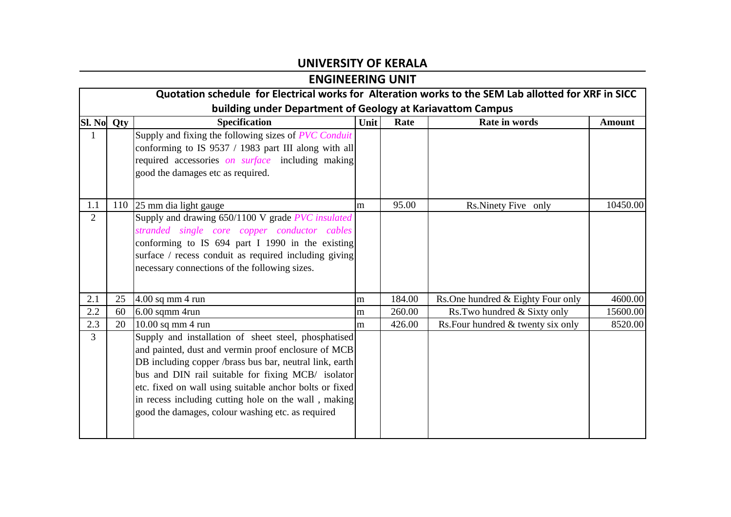## **UNIVERSITY OF KERALA**

## **ENGINEERING UNIT**

|                | Quotation schedule for Electrical works for Alteration works to the SEM Lab allotted for XRF in SICC |                                                                                                                                                                                                                                                                                                                                                                                                      |      |        |                                    |               |  |  |
|----------------|------------------------------------------------------------------------------------------------------|------------------------------------------------------------------------------------------------------------------------------------------------------------------------------------------------------------------------------------------------------------------------------------------------------------------------------------------------------------------------------------------------------|------|--------|------------------------------------|---------------|--|--|
|                | building under Department of Geology at Kariavattom Campus                                           |                                                                                                                                                                                                                                                                                                                                                                                                      |      |        |                                    |               |  |  |
| Sl. No         | Qty                                                                                                  | <b>Specification</b>                                                                                                                                                                                                                                                                                                                                                                                 | Unit | Rate   | Rate in words                      | <b>Amount</b> |  |  |
| 1              |                                                                                                      | Supply and fixing the following sizes of PVC Conduit<br>conforming to IS 9537 / 1983 part III along with all<br>required accessories on surface including making<br>good the damages etc as required.                                                                                                                                                                                                |      |        |                                    |               |  |  |
| 1.1            |                                                                                                      | 110 25 mm dia light gauge                                                                                                                                                                                                                                                                                                                                                                            | m    | 95.00  | Rs.Ninety Five only                | 10450.00      |  |  |
| $\overline{2}$ |                                                                                                      | Supply and drawing 650/1100 V grade PVC insulated<br>stranded single core copper conductor cables<br>conforming to IS 694 part I 1990 in the existing<br>surface / recess conduit as required including giving<br>necessary connections of the following sizes.                                                                                                                                      |      |        |                                    |               |  |  |
| 2.1            | 25                                                                                                   | 4.00 sq mm 4 run                                                                                                                                                                                                                                                                                                                                                                                     | m    | 184.00 | Rs. One hundred & Eighty Four only | 4600.00       |  |  |
| 2.2            | 60                                                                                                   | 6.00 sqmm 4run                                                                                                                                                                                                                                                                                                                                                                                       | m    | 260.00 | Rs. Two hundred & Sixty only       | 15600.00      |  |  |
| 2.3            | 20                                                                                                   | 10.00 sq mm 4 run                                                                                                                                                                                                                                                                                                                                                                                    | m    | 426.00 | Rs. Four hundred & twenty six only | 8520.00       |  |  |
| $\overline{3}$ |                                                                                                      | Supply and installation of sheet steel, phosphatised<br>and painted, dust and vermin proof enclosure of MCB<br>DB including copper /brass bus bar, neutral link, earth<br>bus and DIN rail suitable for fixing MCB/ isolator<br>etc. fixed on wall using suitable anchor bolts or fixed<br>in recess including cutting hole on the wall, making<br>good the damages, colour washing etc. as required |      |        |                                    |               |  |  |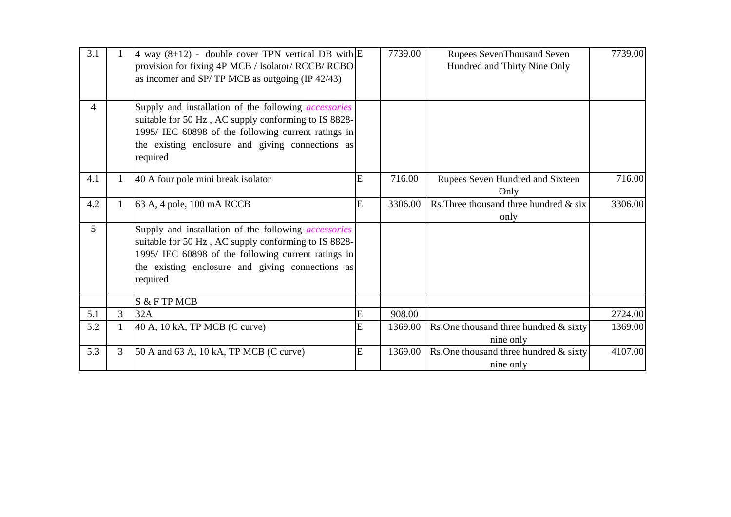| 3.1            |   | 4 way $(8+12)$ - double cover TPN vertical DB with $\mathbb E$<br>provision for fixing 4P MCB / Isolator/ RCCB/ RCBO<br>as incomer and SP/TP MCB as outgoing $(\text{IP } 42/43)$                                                          |   | 7739.00 | <b>Rupees SevenThousand Seven</b><br>Hundred and Thirty Nine Only | 7739.00 |
|----------------|---|--------------------------------------------------------------------------------------------------------------------------------------------------------------------------------------------------------------------------------------------|---|---------|-------------------------------------------------------------------|---------|
| $\overline{4}$ |   | Supply and installation of the following <i>accessories</i><br>suitable for 50 Hz, AC supply conforming to IS 8828-<br>1995/ IEC 60898 of the following current ratings in<br>the existing enclosure and giving connections as<br>required |   |         |                                                                   |         |
| 4.1            |   | 40 A four pole mini break isolator                                                                                                                                                                                                         | E | 716.00  | Rupees Seven Hundred and Sixteen<br>Only                          | 716.00  |
| 4.2            |   | 63 A, 4 pole, 100 mA RCCB                                                                                                                                                                                                                  | Ë | 3306.00 | Rs. Three thousand three hundred $\&$ six<br>only                 | 3306.00 |
| 5              |   | Supply and installation of the following <i>accessories</i><br>suitable for 50 Hz, AC supply conforming to IS 8828-<br>1995/ IEC 60898 of the following current ratings in<br>the existing enclosure and giving connections as<br>required |   |         |                                                                   |         |
|                |   | S & F TP MCB                                                                                                                                                                                                                               |   |         |                                                                   |         |
| 5.1            | 3 | 32A                                                                                                                                                                                                                                        | E | 908.00  |                                                                   | 2724.00 |
| 5.2            |   | 40 A, 10 kA, TP MCB (C curve)                                                                                                                                                                                                              | E | 1369.00 | Rs. One thousand three hundred $\&$ sixty<br>nine only            | 1369.00 |
| 5.3            | 3 | 50 A and 63 A, 10 kA, TP MCB (C curve)                                                                                                                                                                                                     | E | 1369.00 | Rs. One thousand three hundred $&$ sixty<br>nine only             | 4107.00 |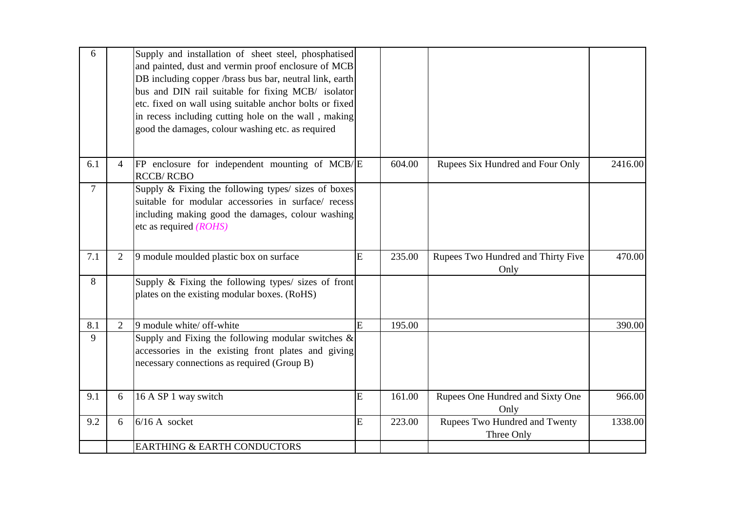| 6              |                | Supply and installation of sheet steel, phosphatised<br>and painted, dust and vermin proof enclosure of MCB<br>DB including copper /brass bus bar, neutral link, earth<br>bus and DIN rail suitable for fixing MCB/ isolator<br>etc. fixed on wall using suitable anchor bolts or fixed<br>in recess including cutting hole on the wall, making<br>good the damages, colour washing etc. as required |   |        |                                             |         |
|----------------|----------------|------------------------------------------------------------------------------------------------------------------------------------------------------------------------------------------------------------------------------------------------------------------------------------------------------------------------------------------------------------------------------------------------------|---|--------|---------------------------------------------|---------|
| 6.1            | 4              | FP enclosure for independent mounting of MCB/E<br><b>RCCB/RCBO</b>                                                                                                                                                                                                                                                                                                                                   |   | 604.00 | Rupees Six Hundred and Four Only            | 2416.00 |
| $\overline{7}$ |                | Supply & Fixing the following types/ sizes of boxes<br>suitable for modular accessories in surface/ recess<br>including making good the damages, colour washing<br>etc as required $(ROHS)$                                                                                                                                                                                                          |   |        |                                             |         |
| 7.1            | $\overline{2}$ | 9 module moulded plastic box on surface                                                                                                                                                                                                                                                                                                                                                              | E | 235.00 | Rupees Two Hundred and Thirty Five<br>Only  | 470.00  |
| 8              |                | Supply & Fixing the following types/ sizes of front<br>plates on the existing modular boxes. (RoHS)                                                                                                                                                                                                                                                                                                  |   |        |                                             |         |
|                |                |                                                                                                                                                                                                                                                                                                                                                                                                      |   |        |                                             |         |
| 8.1            | 2              | 9 module white/ off-white                                                                                                                                                                                                                                                                                                                                                                            | E | 195.00 |                                             | 390.00  |
| 9              |                | Supply and Fixing the following modular switches $\&$<br>accessories in the existing front plates and giving<br>necessary connections as required (Group B)                                                                                                                                                                                                                                          |   |        |                                             |         |
| 9.1            | 6              | 16 A SP 1 way switch                                                                                                                                                                                                                                                                                                                                                                                 | E | 161.00 | Rupees One Hundred and Sixty One<br>Only    | 966.00  |
| 9.2            | 6              | $6/16$ A socket                                                                                                                                                                                                                                                                                                                                                                                      | E | 223.00 | Rupees Two Hundred and Twenty<br>Three Only | 1338.00 |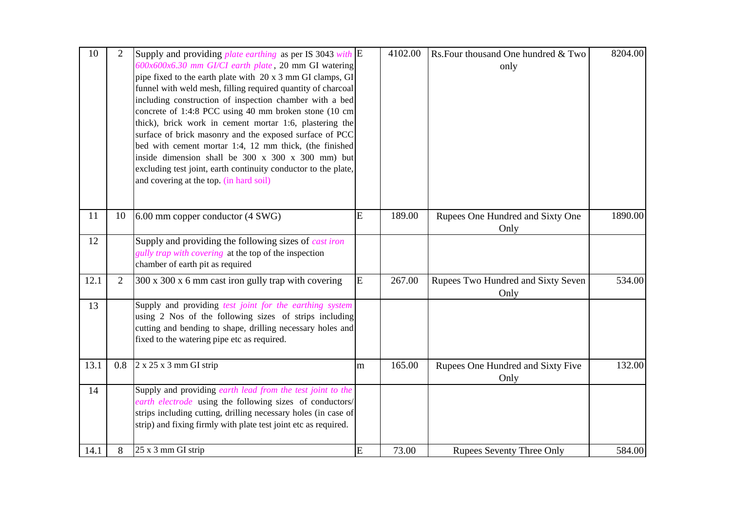| 10   | $\overline{2}$ | Supply and providing <i>plate earthing</i> as per IS 3043 <i>with</i> $\mathbb{E}$<br>600x600x6.30 mm GI/CI earth plate, 20 mm GI watering<br>pipe fixed to the earth plate with 20 x 3 mm GI clamps, GI<br>funnel with weld mesh, filling required quantity of charcoal<br>including construction of inspection chamber with a bed<br>concrete of 1:4:8 PCC using 40 mm broken stone (10 cm<br>thick), brick work in cement mortar 1:6, plastering the<br>surface of brick masonry and the exposed surface of PCC<br>bed with cement mortar 1:4, 12 mm thick, (the finished<br>inside dimension shall be 300 x 300 x 300 mm) but<br>excluding test joint, earth continuity conductor to the plate,<br>and covering at the top. (in hard soil) |   | 4102.00 | Rs. Four thousand One hundred & Two<br>only | 8204.00 |
|------|----------------|------------------------------------------------------------------------------------------------------------------------------------------------------------------------------------------------------------------------------------------------------------------------------------------------------------------------------------------------------------------------------------------------------------------------------------------------------------------------------------------------------------------------------------------------------------------------------------------------------------------------------------------------------------------------------------------------------------------------------------------------|---|---------|---------------------------------------------|---------|
| 11   | 10             | 6.00 mm copper conductor (4 SWG)                                                                                                                                                                                                                                                                                                                                                                                                                                                                                                                                                                                                                                                                                                               | E | 189.00  | Rupees One Hundred and Sixty One<br>Only    | 1890.00 |
| 12   |                | Supply and providing the following sizes of <i>cast iron</i><br>gully trap with covering at the top of the inspection<br>chamber of earth pit as required                                                                                                                                                                                                                                                                                                                                                                                                                                                                                                                                                                                      |   |         |                                             |         |
| 12.1 | $\overline{2}$ | 300 x 300 x 6 mm cast iron gully trap with covering                                                                                                                                                                                                                                                                                                                                                                                                                                                                                                                                                                                                                                                                                            | E | 267.00  | Rupees Two Hundred and Sixty Seven<br>Only  | 534.00  |
| 13   |                | Supply and providing test joint for the earthing system<br>using 2 Nos of the following sizes of strips including<br>cutting and bending to shape, drilling necessary holes and<br>fixed to the watering pipe etc as required.                                                                                                                                                                                                                                                                                                                                                                                                                                                                                                                 |   |         |                                             |         |
| 13.1 | 0.8            | $2 \times 25 \times 3$ mm GI strip                                                                                                                                                                                                                                                                                                                                                                                                                                                                                                                                                                                                                                                                                                             | m | 165.00  | Rupees One Hundred and Sixty Five<br>Only   | 132.00  |
| 14   |                | Supply and providing earth lead from the test joint to the<br>earth electrode using the following sizes of conductors/<br>strips including cutting, drilling necessary holes (in case of<br>strip) and fixing firmly with plate test joint etc as required.                                                                                                                                                                                                                                                                                                                                                                                                                                                                                    |   |         |                                             |         |
| 14.1 | 8              | 25 x 3 mm GI strip                                                                                                                                                                                                                                                                                                                                                                                                                                                                                                                                                                                                                                                                                                                             | E | 73.00   | <b>Rupees Seventy Three Only</b>            | 584.00  |